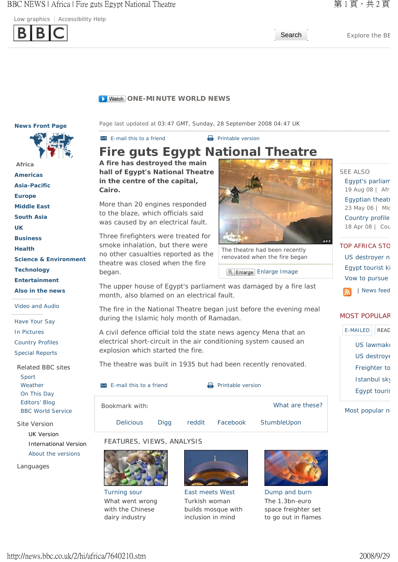BBC NEWS | Africa | Fire guts Egypt National Theatre **■ 東** 1 頁,共 2 頁

Low graphics  $|$  Accessibility Help



Search Explore the BE

#### **D** Watch ONE-MINUTE WORLD NEWS

**News Front Page** 



## **Africa Americas Asia-Pacific Europe Middle East South Asia UK Business Health Science & Environment Technology Entertainment Also in the news**  ----------------- Video and Audio ----------------- Have Your Say

In Pictures

Country Profiles

Special Reports

Related BBC sites Sport Weather On This Day Editors' Blog BBC World Service

Site Version

UK Version International Version About the versions

Languages

Page last updated at 03:47 GMT, Sunday, 28 September 2008 04:47 UK

 $\overline{P}$  F-mail this to a friend  $\overline{P}$  Printable version

# **Fire guts Egypt National Theatre**

**A fire has destroyed the main hall of Egypt's National Theatre in the centre of the capital, Cairo.**

More than 20 engines responded to the blaze, which officials said was caused by an electrical fault.

Three firefighters were treated for smoke inhalation, but there were no other casualties reported as the theatre was closed when the fire began.



The theatre had been recently renovated when the fire began 

<sup>a</sup> Enlarge Image

The upper house of Egypt's parliament was damaged by a fire last month, also blamed on an electrical fault.

The fire in the National Theatre began just before the evening meal during the Islamic holy month of Ramadan.

A civil defence official told the state news agency Mena that an electrical short-circuit in the air conditioning system caused an explosion which started the fire.

The theatre was built in 1935 but had been recently renovated.

 $\blacktriangleright$  E-mail this to a friend  $\blacktriangleright$  Printable version

Bookmark with:

What are these?

Delicious Digg reddit Facebook StumbleUpon

## FEATURES, VIEWS, ANALYSIS



Turning sour What went wrong with the Chinese dairy industry



East meets West Turkish woman builds mosque with inclusion in mind



Dump and burn The 1.3bn-euro space freighter set to go out in flames

# SEE ALSO Egypt's parliam 19 Aug 08 | Afr Egyptian theatr 23 May 06 | Mic Country profile 18 Apr 08 | Cou

TOP AFRICA STO US destroyer n Egypt tourist ki Vow to pursue | News feed

### MOST POPULAR

| E-MAILED       | READ |  |  |  |  |
|----------------|------|--|--|--|--|
| US lawmak      |      |  |  |  |  |
| US destroy∈    |      |  |  |  |  |
| Freighter to   |      |  |  |  |  |
| Istanbul sky   |      |  |  |  |  |
| Egypt touris   |      |  |  |  |  |
| Most popular n |      |  |  |  |  |